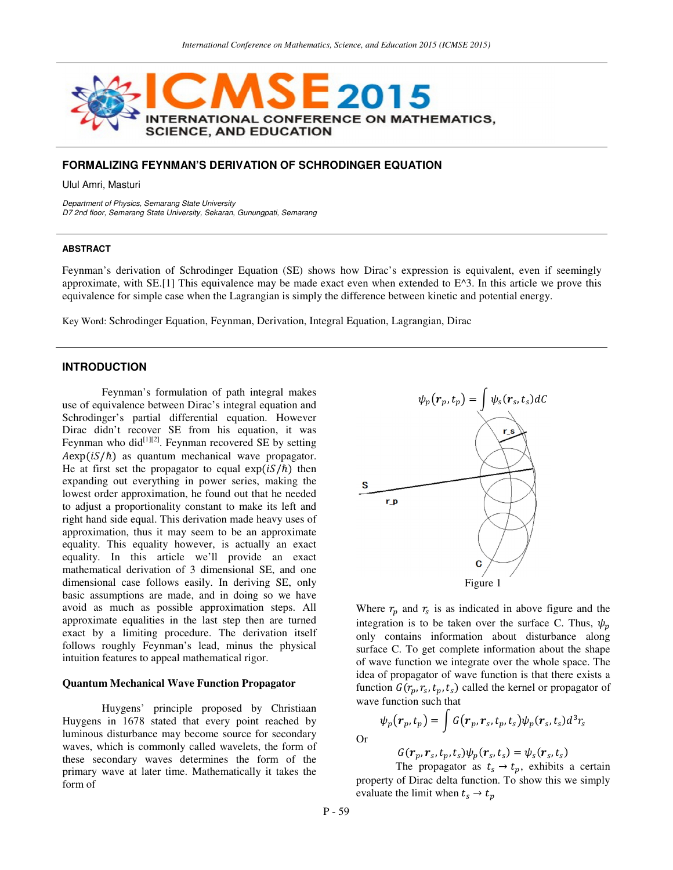

## **FORMALIZING FEYNMAN'S DERIVATION OF SCHRODINGER EQUATION**

Ulul Amri, Masturi

Department of Physics, Semarang State University D7 2nd floor, Semarang State University, Sekaran, Gunungpati, Semarang

## **ABSTRACT**

Feynman's derivation of Schrodinger Equation (SE) shows how Dirac's expression is equivalent, even if seemingly approximate, with SE.[1] This equivalence may be made exact even when extended to  $E^{\wedge}3$ . In this article we prove this equivalence for simple case when the Lagrangian is simply the difference between kinetic and potential energy.

Key Word: Schrodinger Equation, Feynman, Derivation, Integral Equation, Lagrangian, Dirac

# **INTRODUCTION**

Feynman's formulation of path integral makes use of equivalence between Dirac's integral equation and Schrodinger's partial differential equation. However Dirac didn't recover SE from his equation, it was Feynman who did $^{[1][2]}$ . Feynman recovered SE by setting  $A \exp(iS/\hbar)$  as quantum mechanical wave propagator. He at first set the propagator to equal  $exp(iS/\hbar)$  then expanding out everything in power series, making the lowest order approximation, he found out that he needed to adjust a proportionality constant to make its left and right hand side equal. This derivation made heavy uses of approximation, thus it may seem to be an approximate equality. This equality however, is actually an exact equality. In this article we'll provide an exact mathematical derivation of 3 dimensional SE, and one dimensional case follows easily. In deriving SE, only basic assumptions are made, and in doing so we have avoid as much as possible approximation steps. All approximate equalities in the last step then are turned exact by a limiting procedure. The derivation itself follows roughly Feynman's lead, minus the physical intuition features to appeal mathematical rigor.

### **Quantum Mechanical Wave Function Propagator**

Huygens' principle proposed by Christiaan Huygens in 1678 stated that every point reached by luminous disturbance may become source for secondary waves, which is commonly called wavelets, the form of these secondary waves determines the form of the primary wave at later time. Mathematically it takes the form of



Where  $r_p$  and  $r_s$  is as indicated in above figure and the integration is to be taken over the surface C. Thus,  $\psi_n$ only contains information about disturbance along surface C. To get complete information about the shape of wave function we integrate over the whole space. The idea of propagator of wave function is that there exists a function  $G(r_p, r_s, t_p, t_s)$  called the kernel or propagator of wave function such that

$$
\psi_p(\boldsymbol{r}_p,t_p) = \int G(\boldsymbol{r}_p,\boldsymbol{r}_s,t_p,t_s) \psi_p(\boldsymbol{r}_s,t_s) d^3r_s
$$

$$
f_{\rm{max}}
$$

Or

$$
G(\boldsymbol{r}_p,\boldsymbol{r}_s,t_p,t_s)\psi_p(\boldsymbol{r}_s,t_s)=\psi_s(\boldsymbol{r}_s,t_s)
$$

The propagator as  $t_s \rightarrow t_p$ , exhibits a certain property of Dirac delta function. To show this we simply evaluate the limit when  $t_s \rightarrow t_p$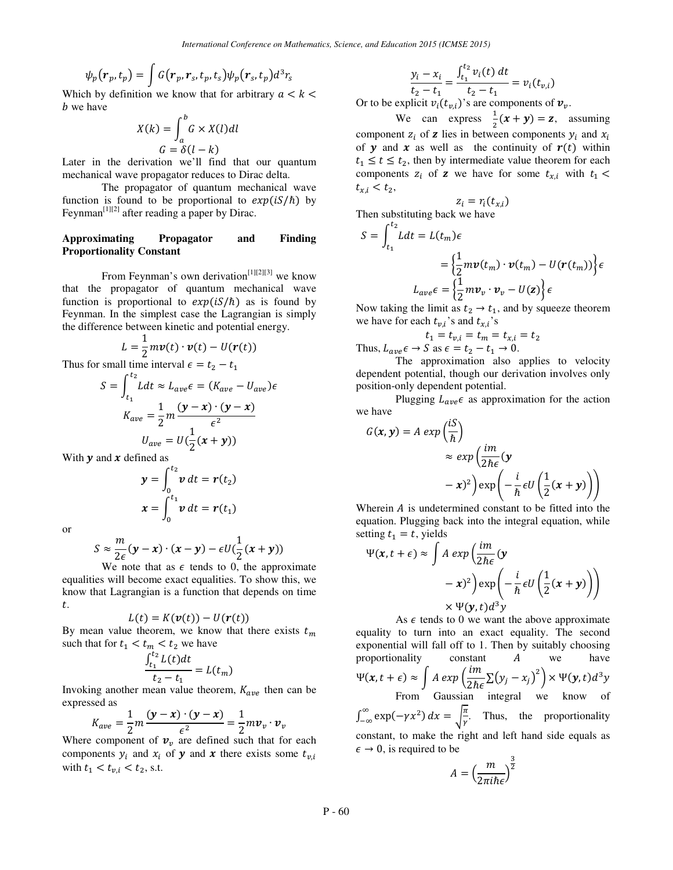$$
\psi_p(\boldsymbol{r}_p,t_p) = \int G(\boldsymbol{r}_p,\boldsymbol{r}_s,t_p,t_s) \psi_p(\boldsymbol{r}_s,t_p) d^3r_s
$$

Which by definition we know that for arbitrary  $a < k <$ b we have

$$
X(k) = \int_{a}^{b} G \times X(l) dl
$$

$$
G = \delta(l - k)
$$

Later in the derivation we'll find that our quantum mechanical wave propagator reduces to Dirac delta.

The propagator of quantum mechanical wave function is found to be proportional to  $exp(iS/\hbar)$  by Feynman<sup>[1][2]</sup> after reading a paper by Dirac.

## **Approximating Propagator and Finding Proportionality Constant**

From Feynman's own derivation<sup>[1][2][3]</sup> we know that the propagator of quantum mechanical wave function is proportional to  $exp(iS/\hbar)$  as is found by Feynman. In the simplest case the Lagrangian is simply the difference between kinetic and potential energy.

$$
L=\frac{1}{2}m\mathbf{v}(t)\cdot\mathbf{v}(t)-U(\mathbf{r}(t))
$$

Thus for small time interval  $\epsilon = t_2 - t_1$ 

$$
S = \int_{t_1}^{t_2} L dt \approx L_{ave} \epsilon = (K_{ave} - U_{ave})\epsilon
$$

$$
K_{ave} = \frac{1}{2}m\frac{(\mathbf{y} - \mathbf{x}) \cdot (\mathbf{y} - \mathbf{x})}{\epsilon^2}
$$

$$
U_{ave} = U(\frac{1}{2}(\mathbf{x} + \mathbf{y}))
$$

With  $y$  and  $x$  defined as

$$
\mathbf{y} = \int_0^{t_2} \mathbf{v} \, dt = \mathbf{r}(t_2)
$$

$$
\mathbf{x} = \int_0^{t_1} \mathbf{v} \, dt = \mathbf{r}(t_1)
$$

or

$$
S \approx \frac{m}{2\epsilon}(\mathbf{y} - \mathbf{x}) \cdot (\mathbf{x} - \mathbf{y}) - \epsilon U(\frac{1}{2}(\mathbf{x} + \mathbf{y}))
$$

 $2\epsilon$ <br>We note that as  $\epsilon$  tends to 0, the approximate equalities will become exact equalities. To show this, we know that Lagrangian is a function that depends on time t.

$$
L(t) = K(\mathbf{v}(t)) - U(\mathbf{r}(t))
$$

By mean value theorem, we know that there exists  $t_m$ such that for  $t_1 < t_m < t_2$  we have

$$
\frac{\int_{t_1}^{t_2} L(t)dt}{t_2 - t_1} = L(t_m)
$$

Invoking another mean value theorem,  $K_{ave}$  then can be expressed as

$$
K_{ave} = \frac{1}{2}m\frac{(\mathbf{y}-\mathbf{x})\cdot(\mathbf{y}-\mathbf{x})}{\epsilon^2} = \frac{1}{2}m\mathbf{v}_v\cdot\mathbf{v}_v
$$

Where component of  $v_v$  are defined such that for each components  $y_i$  and  $x_i$  of  $y$  and  $x$  there exists some  $t_{v,i}$ with  $t_1 < t_{v,i} < t_2$ , s.t.

$$
\frac{y_i - x_i}{t_2 - t_1} = \frac{\int_{t_1}^{t_2} v_i(t) dt}{t_2 - t_1} = v_i(t_{v,i})
$$

Or to be explicit  $v_i(t_{v,i})$ 's are components of  $v_v$ .

We can express  $\frac{1}{2}(x+y) = z$ , assuming component  $z_i$  of **z** lies in between components  $y_i$  and  $x_i$ of **y** and **x** as well as the continuity of  $r(t)$  within  $t_1 \le t \le t_2$ , then by intermediate value theorem for each components  $z_i$  of **z** we have for some  $t_{x,i}$  with  $t_1$  <  $t_{x,i} < t_2,$ 

$$
z_i = r_i(t_{x,i})
$$
  
\nThen substituting back we have  
\n
$$
S = \int_{t_1}^{t_2} L dt = L(t_m)\epsilon
$$
\n
$$
= \left\{ \frac{1}{2} m v(t_m) \cdot v(t_m) - U(r(t_m)) \right\} \epsilon
$$
\n
$$
L_{ave} \epsilon = \left\{ \frac{1}{2} m v_v \cdot v_v - U(z) \right\} \epsilon
$$

Now taking the limit as  $t_2 \rightarrow t_1$ , and by squeeze theorem we have for each  $t_{v,i}$ 's and  $t_{x,i}$ 's

$$
t_1 = t_{v,i} = t_m = t_{x,i} = t_2
$$

Thus,  $L_{ave} \epsilon \rightarrow S$  as  $\epsilon = t_2 - t_1 \rightarrow 0$ .

The approximation also applies to velocity dependent potential, though our derivation involves only position-only dependent potential.

Plugging  $L_{ave} \epsilon$  as approximation for the action we have

$$
G(x, y) = A \exp\left(\frac{iS}{\hbar}\right)
$$
  
\n
$$
\approx \exp\left(\frac{i m}{2\hbar \epsilon}(y - x)^2\right) \exp\left(-\frac{i}{\hbar} \epsilon U\left(\frac{1}{2}(x + y)\right)\right)
$$

Wherein  $\vec{A}$  is undetermined constant to be fitted into the equation. Plugging back into the integral equation, while setting  $t_1 = t$ , yields

$$
\Psi(x, t + \epsilon) \approx \int A \exp\left(\frac{im}{2\hbar\epsilon}(y - x)^2\right) \exp\left(-\frac{i}{\hbar}\epsilon U\left(\frac{1}{2}(x + y)\right)\right) \times \Psi(y, t) d^3y
$$

As  $\epsilon$  tends to 0 we want the above approximate equality to turn into an exact equality. The second exponential will fall off to 1. Then by suitably choosing proportionality constant  $A$  we have  $\Psi(x, t + \epsilon) \approx \int A \exp\left(\frac{im}{2\hbar\epsilon} \Sigma(y_j - x_j)^2\right) \times \Psi(y, t) d^3y$ From Gaussian integral we know of  $\int_{-\infty}^{\infty} \exp(-\gamma x^2) dx = \sqrt{\frac{\pi}{\gamma}}$  $\frac{\pi}{\gamma}$ . Thus, the proportionality constant, to make the right and left hand side equals as  $\epsilon \to 0$ , is required to be

$$
A = \left(\frac{m}{2\pi i\hbar\epsilon}\right)^{\frac{3}{2}}
$$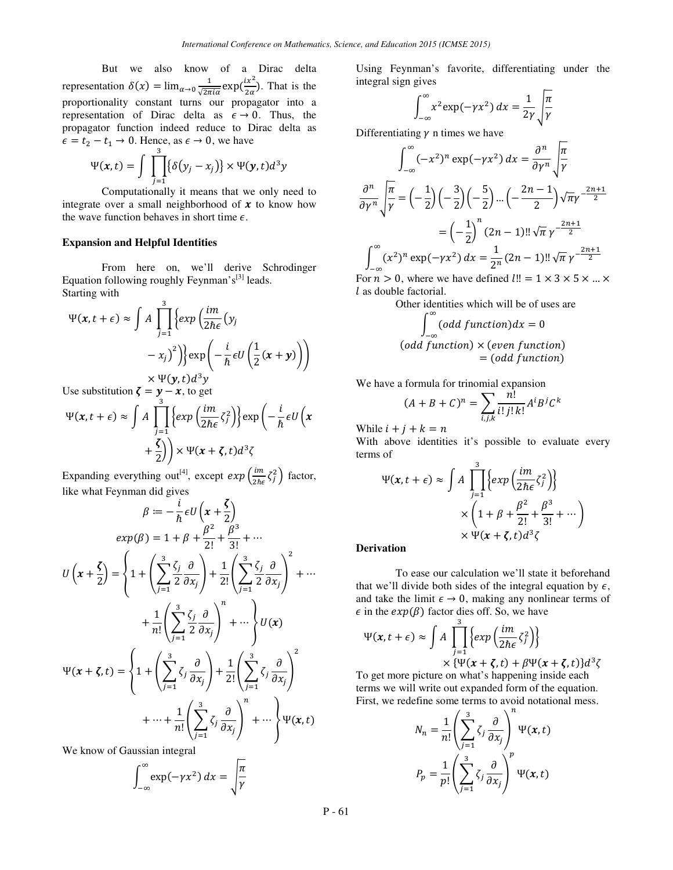But we also know of a Dirac delta representation  $\delta(x) = \lim_{\alpha \to 0} \frac{1}{\sqrt{2\pi}}$  $\frac{1}{\sqrt{2\pi i \alpha}} \exp(\frac{ix^2}{2\alpha})$ . That is the proportionality constant turns our propagator into a representation of Dirac delta as  $\epsilon \to 0$ . Thus, the propagator function indeed reduce to Dirac delta as  $\epsilon = t_2 - t_1 \rightarrow 0$ . Hence, as  $\epsilon \rightarrow 0$ , we have

$$
\Psi(x,t) = \int \prod_{j=1}^3 \{\delta(y_j - x_j)\} \times \Psi(y,t) d^3y
$$

Computationally it means that we only need to integrate over a small neighborhood of  $x$  to know how the wave function behaves in short time  $\epsilon$ .

### **Expansion and Helpful Identities**

From here on, we'll derive Schrodinger Equation following roughly Feynman's<sup>[3]</sup> leads. Starting with  $\overline{a}$ 

$$
\Psi(x, t + \epsilon) \approx \int A \prod_{j=1}^{3} \left\{ exp\left(\frac{im}{2\hbar\epsilon}(y_j - x_j)^2\right) \right\} \exp\left(-\frac{i}{\hbar} \epsilon U\left(\frac{1}{2}(x + y)\right)\right) \times \Psi(y, t) d^3y
$$

Use substitution  $\zeta = y - x$ , to get

$$
\Psi(x, t + \epsilon) \approx \int A \prod_{j=1}^{3} \left\{ exp\left(\frac{im}{2\hbar \epsilon} \zeta_{j}^{2}\right) \right\} \exp\left(-\frac{i}{\hbar} \epsilon U\left(x + \frac{\zeta}{2}\right)\right) \times \Psi(x + \zeta, t) d^{3}\zeta
$$

Expanding everything out<sup>[4]</sup>, except  $exp\left(\frac{im}{2\hbar\epsilon}\zeta_j^2\right)$  factor, like what Feynman did gives

$$
\beta := -\frac{i}{\hbar} \epsilon U \left( x + \frac{\zeta}{2} \right)
$$
  
\n
$$
exp(\beta) = 1 + \beta + \frac{\beta^2}{2!} + \frac{\beta^3}{3!} + \cdots
$$
  
\n
$$
U \left( x + \frac{\zeta}{2} \right) = \left\{ 1 + \left( \sum_{j=1}^3 \frac{\zeta_j}{2} \frac{\partial}{\partial x_j} \right) + \frac{1}{2!} \left( \sum_{j=1}^3 \frac{\zeta_j}{2} \frac{\partial}{\partial x_j} \right)^2 + \cdots + \frac{1}{n!} \left( \sum_{j=1}^3 \frac{\zeta_j}{2} \frac{\partial}{\partial x_j} \right)^n + \cdots \right\} U(x)
$$
  
\n
$$
\Psi(x + \zeta, t) = \left\{ 1 + \left( \sum_{j=1}^3 \zeta_j \frac{\partial}{\partial x_j} \right) + \frac{1}{2!} \left( \sum_{j=1}^3 \zeta_j \frac{\partial}{\partial x_j} \right)^2 + \cdots + \frac{1}{n!} \left( \sum_{j=1}^3 \zeta_j \frac{\partial}{\partial x_j} \right)^n + \cdots \right\} \Psi(x, t)
$$

We know of Gaussian integral

$$
\int_{-\infty}^{\infty} \exp(-\gamma x^2) \, dx = \sqrt{\frac{\pi}{\gamma}}
$$

Using Feynman's favorite, differentiating under the integral sign gives

$$
\int_{-\infty}^{\infty} x^2 \exp(-\gamma x^2) dx = \frac{1}{2\gamma} \sqrt{\frac{\pi}{\gamma}}
$$

Differentiating  $\gamma$  n times we have

$$
\int_{-\infty}^{\infty} (-x^2)^n \exp(-\gamma x^2) dx = \frac{\partial^n}{\partial \gamma^n} \sqrt{\frac{\pi}{\gamma}}
$$

$$
\frac{\partial^n}{\partial \gamma^n} \sqrt{\frac{\pi}{\gamma}} = \left(-\frac{1}{2}\right) \left(-\frac{3}{2}\right) \left(-\frac{5}{2}\right) \dots \left(-\frac{2n-1}{2}\right) \sqrt{\pi} \gamma^{-\frac{2n+1}{2}}
$$

$$
= \left(-\frac{1}{2}\right)^n (2n-1)!! \sqrt{\pi} \gamma^{-\frac{2n+1}{2}}
$$

$$
\int_{-\infty}^{\infty} (x^2)^n \exp(-\gamma x^2) dx = \frac{1}{2^n} (2n-1)!! \sqrt{\pi} \gamma^{-\frac{2n+1}{2}}
$$

For  $n > 0$ , where we have defined  $l!! = 1 \times 3 \times 5 \times ... \times$  $l$  as double factorial.

Other identities which will be of uses are

$$
\int_{-\infty}^{\infty} (odd function) dx = 0
$$
  
(odd function) × (even function)  
= (odd function)

We have a formula for trinomial expansion

$$
(A+B+C)^n = \sum_{i,j,k} \frac{n!}{i! \, j! \, k!} A^i B^j C^k
$$

While  $i + j + k = n$ 

With above identities it's possible to evaluate every terms of

$$
\Psi(x, t + \epsilon) \approx \int A \prod_{j=1}^{3} \left\{ exp\left(\frac{im}{2\hbar\epsilon} \zeta_j^2\right) \right\}
$$

$$
\times \left(1 + \beta + \frac{\beta^2}{2!} + \frac{\beta^3}{3!} + \cdots \right)
$$

$$
\times \Psi(x + \zeta, t) d^3 \zeta
$$

#### **Derivation**

To ease our calculation we'll state it beforehand that we'll divide both sides of the integral equation by  $\epsilon$ , and take the limit  $\epsilon \to 0$ , making any nonlinear terms of  $\epsilon$  in the  $exp(\beta)$  factor dies off. So, we have

$$
\Psi(x, t + \epsilon) \approx \int A \prod_{j=1}^{3} \left\{ exp\left(\frac{im}{2\hbar\epsilon} \zeta_j^2\right) \right\}
$$

$$
\times \left\{ \Psi(x + \zeta, t) + \beta \Psi(x + \zeta, t) \right\} d^3 \zeta
$$

To get more picture on what's happening inside each terms we will write out expanded form of the equation. First, we redefine some terms to avoid notational mess.

$$
N_n = \frac{1}{n!} \left( \sum_{j=1}^3 \zeta_j \frac{\partial}{\partial x_j} \right)^n \Psi(x, t)
$$

$$
P_p = \frac{1}{p!} \left( \sum_{j=1}^3 \zeta_j \frac{\partial}{\partial x_j} \right)^p \Psi(x, t)
$$